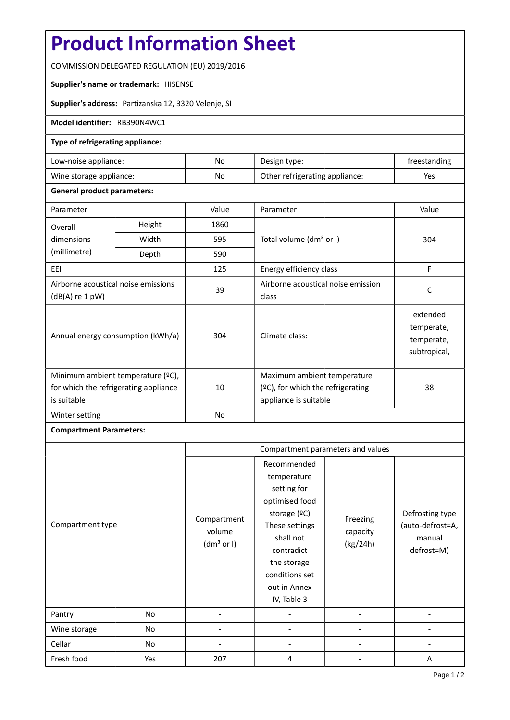# **Product Information Sheet**

COMMISSION DELEGATED REGULATION (EU) 2019/2016

### **Supplier's name or trademark:** HISENSE

**Supplier's address:** Partizanska 12, 3320 Velenje, SI

### **Model identifier:** RB390N4WC1

### **Type of refrigerating appliance:**

| Low-noise appliance:    | No | Design type:                   | freestanding |
|-------------------------|----|--------------------------------|--------------|
| Wine storage appliance: | No | Other refrigerating appliance: | Yes          |

### **General product parameters:**

| Parameter                                                                                 |       | Value | Parameter                                                                                    | Value                                                |
|-------------------------------------------------------------------------------------------|-------|-------|----------------------------------------------------------------------------------------------|------------------------------------------------------|
| 1860<br>Height<br>Overall                                                                 |       |       |                                                                                              |                                                      |
| dimensions                                                                                | Width | 595   | Total volume (dm <sup>3</sup> or I)                                                          | 304                                                  |
| (millimetre)                                                                              | Depth | 590   |                                                                                              |                                                      |
| EEI                                                                                       |       | 125   | Energy efficiency class                                                                      | F                                                    |
| Airborne acoustical noise emissions<br>$(dB(A)$ re 1 pW)                                  |       | 39    | Airborne acoustical noise emission<br>class                                                  | C                                                    |
| Annual energy consumption (kWh/a)                                                         |       | 304   | Climate class:                                                                               | extended<br>temperate,<br>temperate,<br>subtropical, |
| Minimum ambient temperature (°C),<br>for which the refrigerating appliance<br>is suitable |       | 10    | Maximum ambient temperature<br>$(2C)$ , for which the refrigerating<br>appliance is suitable | 38                                                   |
| Winter setting                                                                            |       | No    |                                                                                              |                                                      |

## **Compartment Parameters:**

|                  |     | Compartment parameters and values               |                                                                                                                                                                                          |                                  |                                                             |
|------------------|-----|-------------------------------------------------|------------------------------------------------------------------------------------------------------------------------------------------------------------------------------------------|----------------------------------|-------------------------------------------------------------|
| Compartment type |     | Compartment<br>volume<br>(dm <sup>3</sup> or I) | Recommended<br>temperature<br>setting for<br>optimised food<br>storage (ºC)<br>These settings<br>shall not<br>contradict<br>the storage<br>conditions set<br>out in Annex<br>IV, Table 3 | Freezing<br>capacity<br>(kg/24h) | Defrosting type<br>(auto-defrost=A,<br>manual<br>defrost=M) |
| Pantry           | No  |                                                 |                                                                                                                                                                                          |                                  |                                                             |
| Wine storage     | No  |                                                 |                                                                                                                                                                                          |                                  |                                                             |
| Cellar           | No  |                                                 |                                                                                                                                                                                          |                                  |                                                             |
| Fresh food       | Yes | 207                                             | 4                                                                                                                                                                                        |                                  | A                                                           |